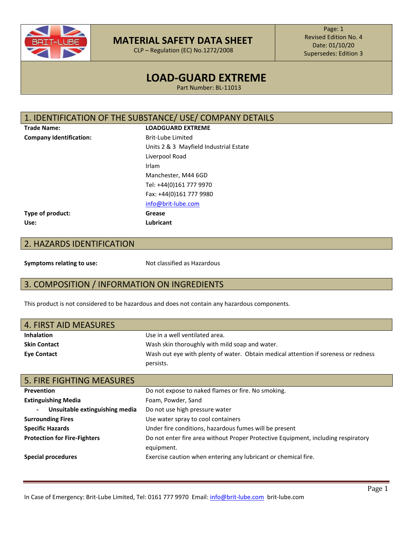

CLP – Regulation (EC) No.1272/2008

Page: 1 Revised Edition No. 4 Date: 01/10/20 Supersedes: Edition 3

## **LOAD-GUARD EXTREME**

Part Number: BL-11013

#### 1. IDENTIFICATION OF THE SUBSTANCE/ USE/ COMPANY DETAILS

**Company Identification:** Brit-Lube Limited

**Trade Name: LOADGUARD EXTREME** Units 2 & 3 Mayfield Industrial Estate Liverpool Road Irlam Manchester, M44 6GD Tel: +44(0)161 777 9970 Fax: +44(0)161 777 9980 [info@brit-lube.com](mailto:info@brit-lube.com)

#### **Type of product: Grease Use: Lubricant**

#### 2. HAZARDS IDENTIFICATION

**Symptoms relating to use:** Not classified as Hazardous

#### 3. COMPOSITION / INFORMATION ON INGREDIENTS

This product is not considered to be hazardous and does not contain any hazardous components.

| 4. FIRST AID MEASURES |                                                                                    |
|-----------------------|------------------------------------------------------------------------------------|
| <b>Inhalation</b>     | Use in a well ventilated area.                                                     |
| <b>Skin Contact</b>   | Wash skin thoroughly with mild soap and water.                                     |
| <b>Eve Contact</b>    | Wash out eye with plenty of water. Obtain medical attention if soreness or redness |
|                       | persists.                                                                          |

| <b>5. FIRE FIGHTING MEASURES</b>                 |                                                                                                 |
|--------------------------------------------------|-------------------------------------------------------------------------------------------------|
| <b>Prevention</b>                                | Do not expose to naked flames or fire. No smoking.                                              |
| <b>Extinguishing Media</b>                       | Foam, Powder, Sand                                                                              |
| Unsuitable extinguishing media<br>$\blacksquare$ | Do not use high pressure water                                                                  |
| <b>Surrounding Fires</b>                         | Use water spray to cool containers                                                              |
| <b>Specific Hazards</b>                          | Under fire conditions, hazardous fumes will be present                                          |
| <b>Protection for Fire-Fighters</b>              | Do not enter fire area without Proper Protective Equipment, including respiratory<br>equipment. |
| Special procedures                               | Exercise caution when entering any lubricant or chemical fire.                                  |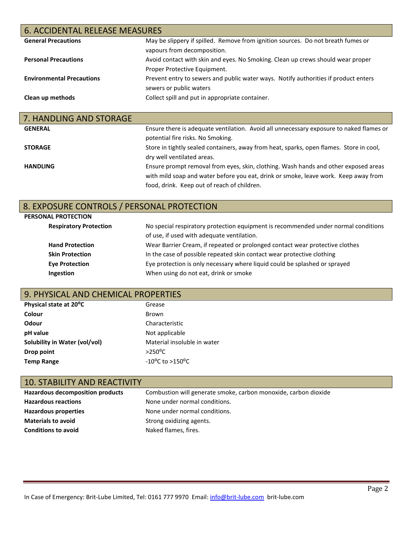| <b>6. ACCIDENTAL RELEASE MEASURES</b> |                                                                                                                 |  |
|---------------------------------------|-----------------------------------------------------------------------------------------------------------------|--|
| <b>General Precautions</b>            | May be slippery if spilled. Remove from ignition sources. Do not breath fumes or<br>vapours from decomposition. |  |
| <b>Personal Precautions</b>           | Avoid contact with skin and eyes. No Smoking. Clean up crews should wear proper<br>Proper Protective Equipment. |  |
| <b>Environmental Precautions</b>      | Prevent entry to sewers and public water ways. Notify authorities if product enters<br>sewers or public waters  |  |
| Clean up methods                      | Collect spill and put in appropriate container.                                                                 |  |
| 7 LIANDUING AND CTODACE               |                                                                                                                 |  |

| 7. HANDLING AND STOKAGE |                                                                                         |
|-------------------------|-----------------------------------------------------------------------------------------|
| <b>GENERAL</b>          | Ensure there is adequate ventilation. Avoid all unnecessary exposure to naked flames or |
|                         | potential fire risks. No Smoking.                                                       |
| <b>STORAGE</b>          | Store in tightly sealed containers, away from heat, sparks, open flames. Store in cool, |
|                         | dry well ventilated areas.                                                              |
| <b>HANDLING</b>         | Ensure prompt removal from eyes, skin, clothing. Wash hands and other exposed areas     |
|                         | with mild soap and water before you eat, drink or smoke, leave work. Keep away from     |
|                         | food, drink. Keep out of reach of children.                                             |

### 8. EXPOSURE CONTROLS / PERSONAL PROTECTION

| PERSONAL PROTECTION           |                                                                                    |
|-------------------------------|------------------------------------------------------------------------------------|
| <b>Respiratory Protection</b> | No special respiratory protection equipment is recommended under normal conditions |
|                               | of use, if used with adequate ventilation.                                         |
| <b>Hand Protection</b>        | Wear Barrier Cream, if repeated or prolonged contact wear protective clothes       |
| <b>Skin Protection</b>        | In the case of possible repeated skin contact wear protective clothing             |
| <b>Eye Protection</b>         | Eye protection is only necessary where liquid could be splashed or sprayed         |
| Ingestion                     | When using do not eat, drink or smoke                                              |

### 9. PHYSICAL AND CHEMICAL PROPERTIES

| Physical state at 20°C        | Grease                              |
|-------------------------------|-------------------------------------|
| Colour                        | Brown                               |
| <b>Odour</b>                  | Characteristic                      |
| pH value                      | Not applicable                      |
| Solubility in Water (vol/vol) | Material insoluble in water         |
| Drop point                    | $>250^{\circ}$ C                    |
| <b>Temp Range</b>             | $-10^{\circ}$ C to $>150^{\circ}$ C |

# 10. STABILITY AND REACTIVITY

| <b>Hazardous decomposition products</b> | Combustion will generate smoke, carbon monoxide, carbon dioxide |
|-----------------------------------------|-----------------------------------------------------------------|
| <b>Hazardous reactions</b>              | None under normal conditions.                                   |
| Hazardous properties                    | None under normal conditions.                                   |
| <b>Materials to avoid</b>               | Strong oxidizing agents.                                        |
| <b>Conditions to avoid</b>              | Naked flames, fires.                                            |